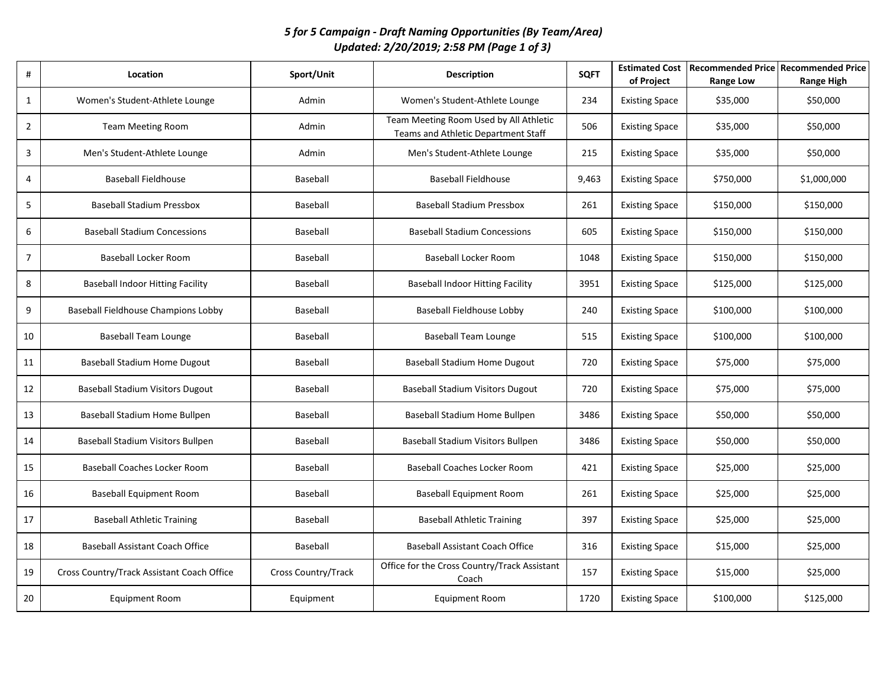## *5 for 5 Campaign - Draft Naming Opportunities (By Team/Area) Updated: 2/20/2019; 2:58 PM (Page 1 of 3)*

| #              | Location                                   | Sport/Unit          | <b>Description</b>                                                            | <b>SQFT</b> | <b>Estimated Cost</b><br>of Project | Recommended Price Recommended Price<br><b>Range Low</b> | <b>Range High</b> |
|----------------|--------------------------------------------|---------------------|-------------------------------------------------------------------------------|-------------|-------------------------------------|---------------------------------------------------------|-------------------|
| $\mathbf{1}$   | Women's Student-Athlete Lounge             | Admin               | Women's Student-Athlete Lounge                                                | 234         | <b>Existing Space</b>               | \$35,000                                                | \$50,000          |
| $\overline{2}$ | <b>Team Meeting Room</b>                   | Admin               | Team Meeting Room Used by All Athletic<br>Teams and Athletic Department Staff | 506         | <b>Existing Space</b>               | \$35,000                                                | \$50,000          |
| 3              | Men's Student-Athlete Lounge               | Admin               | Men's Student-Athlete Lounge                                                  | 215         | <b>Existing Space</b>               | \$35,000                                                | \$50,000          |
| 4              | <b>Baseball Fieldhouse</b>                 | Baseball            | <b>Baseball Fieldhouse</b>                                                    | 9,463       | <b>Existing Space</b>               | \$750,000                                               | \$1,000,000       |
| 5              | <b>Baseball Stadium Pressbox</b>           | Baseball            | <b>Baseball Stadium Pressbox</b>                                              | 261         | <b>Existing Space</b>               | \$150,000                                               | \$150,000         |
| 6              | <b>Baseball Stadium Concessions</b>        | Baseball            | <b>Baseball Stadium Concessions</b>                                           | 605         | <b>Existing Space</b>               | \$150,000                                               | \$150,000         |
| $\overline{7}$ | Baseball Locker Room                       | Baseball            | Baseball Locker Room                                                          | 1048        | <b>Existing Space</b>               | \$150,000                                               | \$150,000         |
| 8              | <b>Baseball Indoor Hitting Facility</b>    | Baseball            | <b>Baseball Indoor Hitting Facility</b>                                       | 3951        | <b>Existing Space</b>               | \$125,000                                               | \$125,000         |
| 9              | Baseball Fieldhouse Champions Lobby        | Baseball            | <b>Baseball Fieldhouse Lobby</b>                                              | 240         | <b>Existing Space</b>               | \$100,000                                               | \$100,000         |
| 10             | <b>Baseball Team Lounge</b>                | Baseball            | <b>Baseball Team Lounge</b>                                                   | 515         | <b>Existing Space</b>               | \$100,000                                               | \$100,000         |
| 11             | Baseball Stadium Home Dugout               | Baseball            | <b>Baseball Stadium Home Dugout</b>                                           | 720         | <b>Existing Space</b>               | \$75,000                                                | \$75,000          |
| 12             | <b>Baseball Stadium Visitors Dugout</b>    | Baseball            | <b>Baseball Stadium Visitors Dugout</b>                                       | 720         | <b>Existing Space</b>               | \$75,000                                                | \$75,000          |
| 13             | Baseball Stadium Home Bullpen              | Baseball            | Baseball Stadium Home Bullpen                                                 | 3486        | <b>Existing Space</b>               | \$50,000                                                | \$50,000          |
| 14             | Baseball Stadium Visitors Bullpen          | Baseball            | Baseball Stadium Visitors Bullpen                                             | 3486        | <b>Existing Space</b>               | \$50,000                                                | \$50,000          |
| 15             | <b>Baseball Coaches Locker Room</b>        | Baseball            | <b>Baseball Coaches Locker Room</b>                                           | 421         | <b>Existing Space</b>               | \$25,000                                                | \$25,000          |
| 16             | <b>Baseball Equipment Room</b>             | Baseball            | <b>Baseball Equipment Room</b>                                                | 261         | <b>Existing Space</b>               | \$25,000                                                | \$25,000          |
| 17             | <b>Baseball Athletic Training</b>          | Baseball            | <b>Baseball Athletic Training</b>                                             | 397         | <b>Existing Space</b>               | \$25,000                                                | \$25,000          |
| 18             | <b>Baseball Assistant Coach Office</b>     | Baseball            | <b>Baseball Assistant Coach Office</b>                                        | 316         | <b>Existing Space</b>               | \$15,000                                                | \$25,000          |
| 19             | Cross Country/Track Assistant Coach Office | Cross Country/Track | Office for the Cross Country/Track Assistant<br>Coach                         | 157         | <b>Existing Space</b>               | \$15,000                                                | \$25,000          |
| 20             | <b>Equipment Room</b>                      | Equipment           | <b>Equipment Room</b>                                                         | 1720        | <b>Existing Space</b>               | \$100,000                                               | \$125,000         |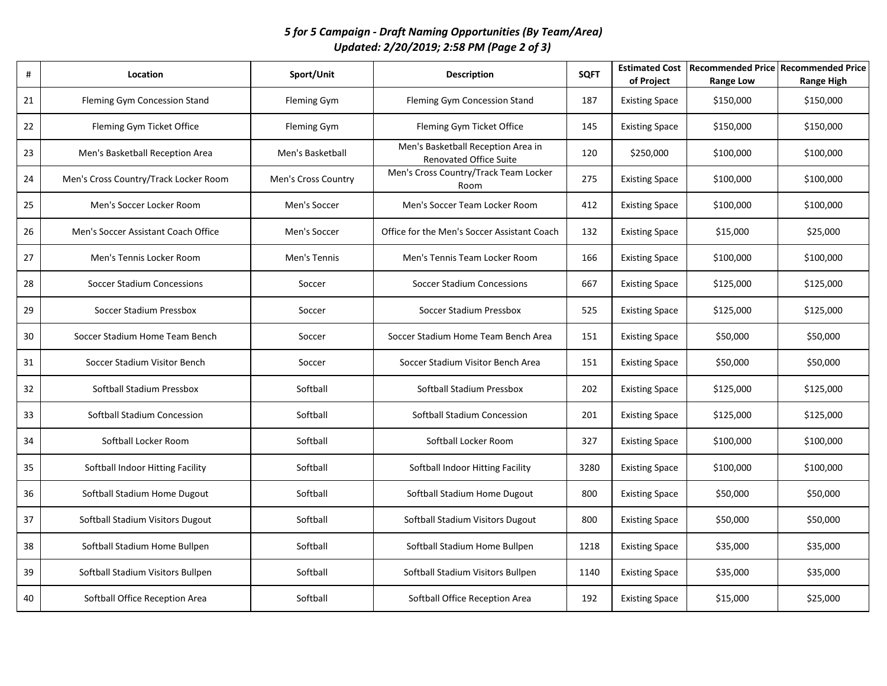## *5 for 5 Campaign - Draft Naming Opportunities (By Team/Area) Updated: 2/20/2019; 2:58 PM (Page 2 of 3)*

| #  | Location                              | Sport/Unit          | <b>Description</b>                                                  | <b>SQFT</b> | <b>Estimated Cost</b><br>of Project | Recommended Price   Recommended Price<br><b>Range Low</b> | <b>Range High</b> |
|----|---------------------------------------|---------------------|---------------------------------------------------------------------|-------------|-------------------------------------|-----------------------------------------------------------|-------------------|
| 21 | Fleming Gym Concession Stand          | <b>Fleming Gym</b>  | Fleming Gym Concession Stand                                        | 187         | <b>Existing Space</b>               | \$150,000                                                 | \$150,000         |
| 22 | Fleming Gym Ticket Office             | Fleming Gym         | Fleming Gym Ticket Office                                           | 145         | <b>Existing Space</b>               | \$150,000                                                 | \$150,000         |
| 23 | Men's Basketball Reception Area       | Men's Basketball    | Men's Basketball Reception Area in<br><b>Renovated Office Suite</b> | 120         | \$250,000                           | \$100,000                                                 | \$100,000         |
| 24 | Men's Cross Country/Track Locker Room | Men's Cross Country | Men's Cross Country/Track Team Locker<br>Room                       | 275         | <b>Existing Space</b>               | \$100,000                                                 | \$100,000         |
| 25 | Men's Soccer Locker Room              | Men's Soccer        | Men's Soccer Team Locker Room                                       | 412         | <b>Existing Space</b>               | \$100,000                                                 | \$100,000         |
| 26 | Men's Soccer Assistant Coach Office   | Men's Soccer        | Office for the Men's Soccer Assistant Coach                         | 132         | <b>Existing Space</b>               | \$15,000                                                  | \$25,000          |
| 27 | Men's Tennis Locker Room              | Men's Tennis        | Men's Tennis Team Locker Room                                       | 166         | <b>Existing Space</b>               | \$100,000                                                 | \$100,000         |
| 28 | Soccer Stadium Concessions            | Soccer              | <b>Soccer Stadium Concessions</b>                                   | 667         | <b>Existing Space</b>               | \$125,000                                                 | \$125,000         |
| 29 | Soccer Stadium Pressbox               | Soccer              | Soccer Stadium Pressbox                                             | 525         | <b>Existing Space</b>               | \$125,000                                                 | \$125,000         |
| 30 | Soccer Stadium Home Team Bench        | Soccer              | Soccer Stadium Home Team Bench Area                                 | 151         | <b>Existing Space</b>               | \$50,000                                                  | \$50,000          |
| 31 | Soccer Stadium Visitor Bench          | Soccer              | Soccer Stadium Visitor Bench Area                                   | 151         | <b>Existing Space</b>               | \$50,000                                                  | \$50,000          |
| 32 | Softball Stadium Pressbox             | Softball            | Softball Stadium Pressbox                                           | 202         | <b>Existing Space</b>               | \$125,000                                                 | \$125,000         |
| 33 | Softball Stadium Concession           | Softball            | Softball Stadium Concession                                         | 201         | <b>Existing Space</b>               | \$125,000                                                 | \$125,000         |
| 34 | Softball Locker Room                  | Softball            | Softball Locker Room                                                | 327         | <b>Existing Space</b>               | \$100,000                                                 | \$100,000         |
| 35 | Softball Indoor Hitting Facility      | Softball            | Softball Indoor Hitting Facility                                    | 3280        | <b>Existing Space</b>               | \$100,000                                                 | \$100,000         |
| 36 | Softball Stadium Home Dugout          | Softball            | Softball Stadium Home Dugout                                        | 800         | <b>Existing Space</b>               | \$50,000                                                  | \$50,000          |
| 37 | Softball Stadium Visitors Dugout      | Softball            | Softball Stadium Visitors Dugout                                    | 800         | <b>Existing Space</b>               | \$50,000                                                  | \$50,000          |
| 38 | Softball Stadium Home Bullpen         | Softball            | Softball Stadium Home Bullpen                                       | 1218        | <b>Existing Space</b>               | \$35,000                                                  | \$35,000          |
| 39 | Softball Stadium Visitors Bullpen     | Softball            | Softball Stadium Visitors Bullpen                                   | 1140        | <b>Existing Space</b>               | \$35,000                                                  | \$35,000          |
| 40 | Softball Office Reception Area        | Softball            | Softball Office Reception Area                                      | 192         | <b>Existing Space</b>               | \$15,000                                                  | \$25,000          |